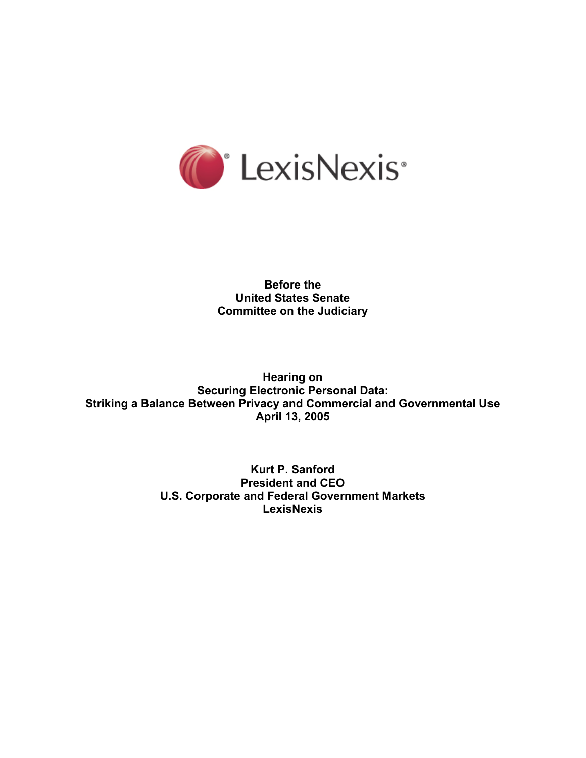

**Before the United States Senate Committee on the Judiciary** 

**Hearing on Securing Electronic Personal Data: Striking a Balance Between Privacy and Commercial and Governmental Use April 13, 2005** 

> **Kurt P. Sanford President and CEO U.S. Corporate and Federal Government Markets LexisNexis**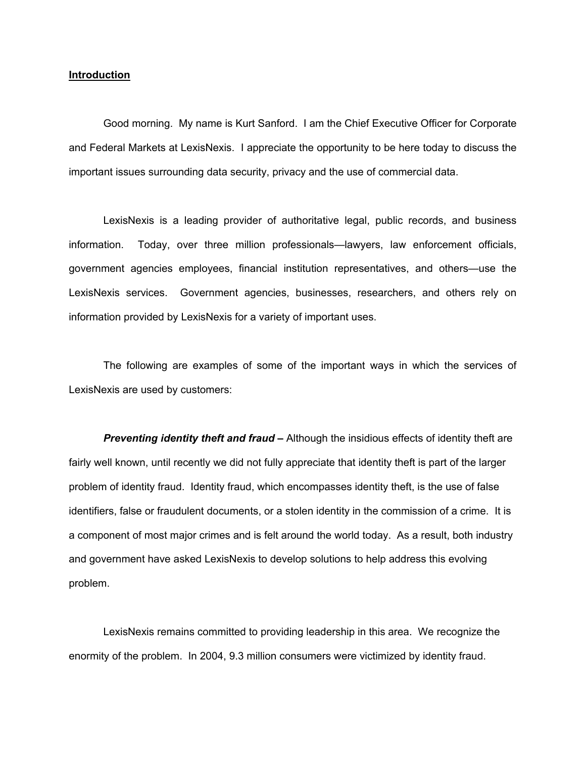#### **Introduction**

Good morning. My name is Kurt Sanford. I am the Chief Executive Officer for Corporate and Federal Markets at LexisNexis. I appreciate the opportunity to be here today to discuss the important issues surrounding data security, privacy and the use of commercial data.

LexisNexis is a leading provider of authoritative legal, public records, and business information. Today, over three million professionals—lawyers, law enforcement officials, government agencies employees, financial institution representatives, and others—use the LexisNexis services. Government agencies, businesses, researchers, and others rely on information provided by LexisNexis for a variety of important uses.

The following are examples of some of the important ways in which the services of LexisNexis are used by customers:

**Preventing identity theft and fraud –** Although the insidious effects of identity theft are fairly well known, until recently we did not fully appreciate that identity theft is part of the larger problem of identity fraud. Identity fraud, which encompasses identity theft, is the use of false identifiers, false or fraudulent documents, or a stolen identity in the commission of a crime. It is a component of most major crimes and is felt around the world today. As a result, both industry and government have asked LexisNexis to develop solutions to help address this evolving problem.

LexisNexis remains committed to providing leadership in this area. We recognize the enormity of the problem. In 2004, 9.3 million consumers were victimized by identity fraud.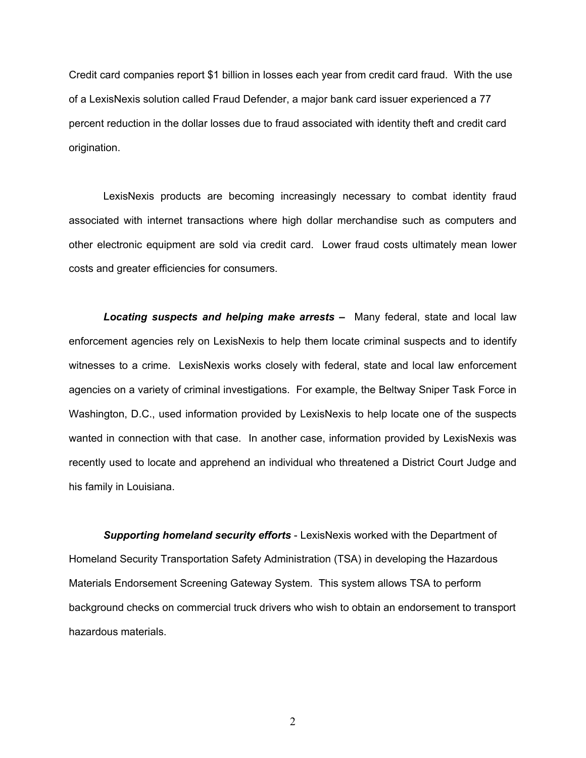Credit card companies report \$1 billion in losses each year from credit card fraud. With the use of a LexisNexis solution called Fraud Defender, a major bank card issuer experienced a 77 percent reduction in the dollar losses due to fraud associated with identity theft and credit card origination.

LexisNexis products are becoming increasingly necessary to combat identity fraud associated with internet transactions where high dollar merchandise such as computers and other electronic equipment are sold via credit card. Lower fraud costs ultimately mean lower costs and greater efficiencies for consumers.

*Locating suspects and helping make arrests* **–** Many federal, state and local law enforcement agencies rely on LexisNexis to help them locate criminal suspects and to identify witnesses to a crime. LexisNexis works closely with federal, state and local law enforcement agencies on a variety of criminal investigations. For example, the Beltway Sniper Task Force in Washington, D.C., used information provided by LexisNexis to help locate one of the suspects wanted in connection with that case. In another case, information provided by LexisNexis was recently used to locate and apprehend an individual who threatened a District Court Judge and his family in Louisiana.

*Supporting homeland security efforts* - LexisNexis worked with the Department of Homeland Security Transportation Safety Administration (TSA) in developing the Hazardous Materials Endorsement Screening Gateway System. This system allows TSA to perform background checks on commercial truck drivers who wish to obtain an endorsement to transport hazardous materials.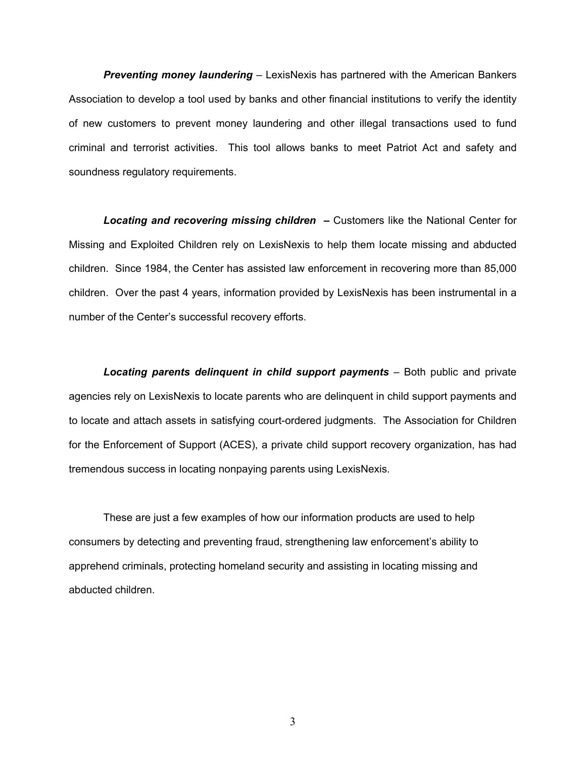*Preventing money laundering* – LexisNexis has partnered with the American Bankers Association to develop a tool used by banks and other financial institutions to verify the identity of new customers to prevent money laundering and other illegal transactions used to fund criminal and terrorist activities. This tool allows banks to meet Patriot Act and safety and soundness regulatory requirements.

**Locating and recovering missing children - Customers like the National Center for** Missing and Exploited Children rely on LexisNexis to help them locate missing and abducted children. Since 1984, the Center has assisted law enforcement in recovering more than 85,000 children. Over the past 4 years, information provided by LexisNexis has been instrumental in a number of the Center's successful recovery efforts.

*Locating parents delinquent in child support payments* – Both public and private agencies rely on LexisNexis to locate parents who are delinquent in child support payments and to locate and attach assets in satisfying court-ordered judgments. The Association for Children for the Enforcement of Support (ACES), a private child support recovery organization, has had tremendous success in locating nonpaying parents using LexisNexis.

 These are just a few examples of how our information products are used to help consumers by detecting and preventing fraud, strengthening law enforcement's ability to apprehend criminals, protecting homeland security and assisting in locating missing and abducted children.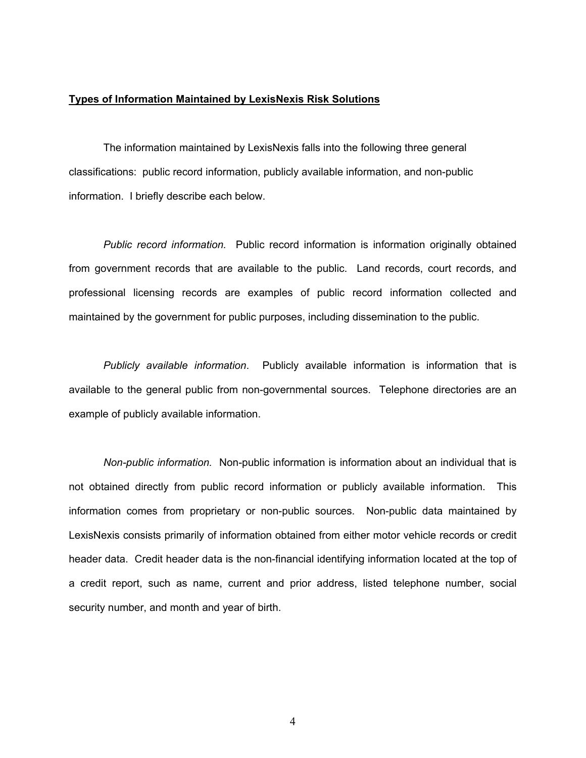# **Types of Information Maintained by LexisNexis Risk Solutions**

The information maintained by LexisNexis falls into the following three general classifications: public record information, publicly available information, and non-public information. I briefly describe each below.

*Public record information.* Public record information is information originally obtained from government records that are available to the public. Land records, court records, and professional licensing records are examples of public record information collected and maintained by the government for public purposes, including dissemination to the public.

*Publicly available information*. Publicly available information is information that is available to the general public from non-governmental sources. Telephone directories are an example of publicly available information.

*Non-public information.* Non-public information is information about an individual that is not obtained directly from public record information or publicly available information. This information comes from proprietary or non-public sources. Non-public data maintained by LexisNexis consists primarily of information obtained from either motor vehicle records or credit header data. Credit header data is the non-financial identifying information located at the top of a credit report, such as name, current and prior address, listed telephone number, social security number, and month and year of birth.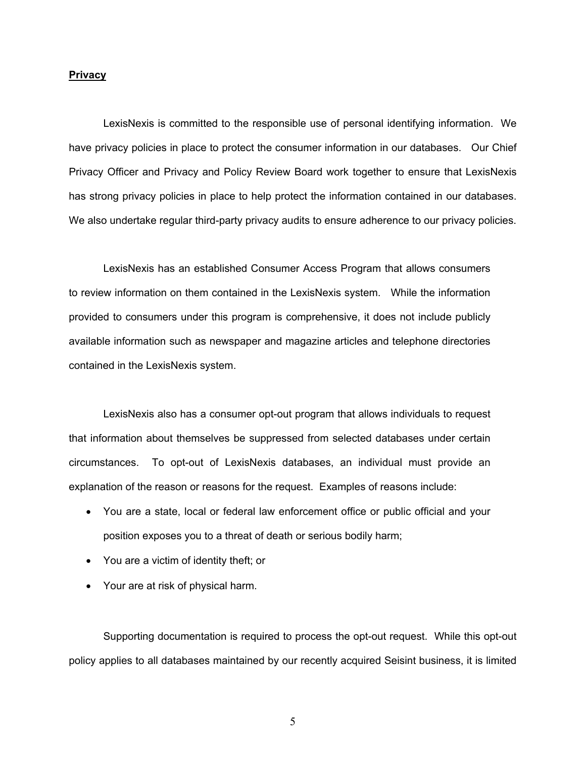## **Privacy**

LexisNexis is committed to the responsible use of personal identifying information. We have privacy policies in place to protect the consumer information in our databases. Our Chief Privacy Officer and Privacy and Policy Review Board work together to ensure that LexisNexis has strong privacy policies in place to help protect the information contained in our databases. We also undertake regular third-party privacy audits to ensure adherence to our privacy policies.

LexisNexis has an established Consumer Access Program that allows consumers to review information on them contained in the LexisNexis system. While the information provided to consumers under this program is comprehensive, it does not include publicly available information such as newspaper and magazine articles and telephone directories contained in the LexisNexis system.

 LexisNexis also has a consumer opt-out program that allows individuals to request that information about themselves be suppressed from selected databases under certain circumstances. To opt-out of LexisNexis databases, an individual must provide an explanation of the reason or reasons for the request. Examples of reasons include:

- You are a state, local or federal law enforcement office or public official and your position exposes you to a threat of death or serious bodily harm;
- You are a victim of identity theft; or
- Your are at risk of physical harm.

Supporting documentation is required to process the opt-out request. While this opt-out policy applies to all databases maintained by our recently acquired Seisint business, it is limited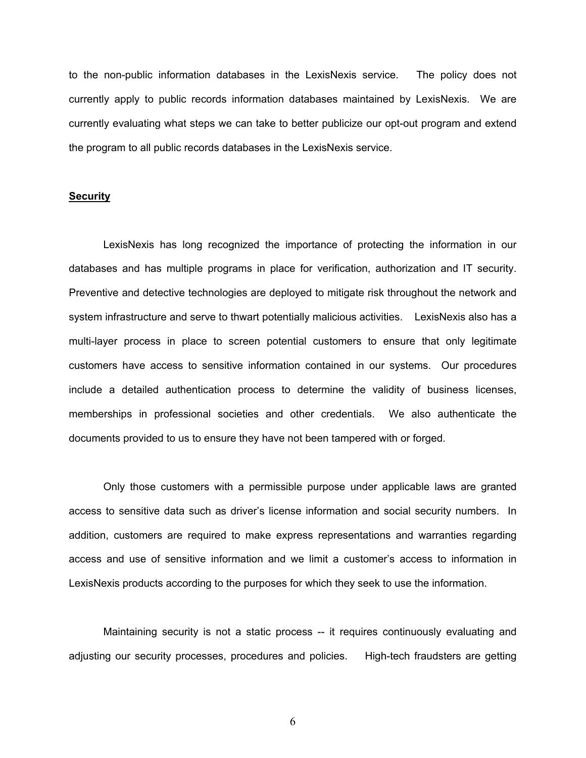to the non-public information databases in the LexisNexis service. The policy does not currently apply to public records information databases maintained by LexisNexis. We are currently evaluating what steps we can take to better publicize our opt-out program and extend the program to all public records databases in the LexisNexis service.

## **Security**

LexisNexis has long recognized the importance of protecting the information in our databases and has multiple programs in place for verification, authorization and IT security. Preventive and detective technologies are deployed to mitigate risk throughout the network and system infrastructure and serve to thwart potentially malicious activities. LexisNexis also has a multi-layer process in place to screen potential customers to ensure that only legitimate customers have access to sensitive information contained in our systems. Our procedures include a detailed authentication process to determine the validity of business licenses, memberships in professional societies and other credentials. We also authenticate the documents provided to us to ensure they have not been tampered with or forged.

Only those customers with a permissible purpose under applicable laws are granted access to sensitive data such as driver's license information and social security numbers. In addition, customers are required to make express representations and warranties regarding access and use of sensitive information and we limit a customer's access to information in LexisNexis products according to the purposes for which they seek to use the information.

Maintaining security is not a static process -- it requires continuously evaluating and adjusting our security processes, procedures and policies. High-tech fraudsters are getting

 $\sim$  6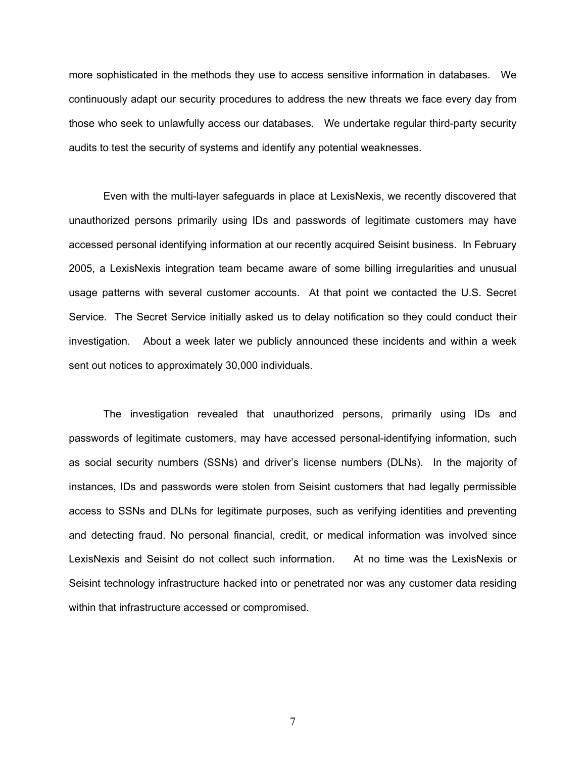more sophisticated in the methods they use to access sensitive information in databases. We continuously adapt our security procedures to address the new threats we face every day from those who seek to unlawfully access our databases. We undertake regular third-party security audits to test the security of systems and identify any potential weaknesses.

Even with the multi-layer safeguards in place at LexisNexis, we recently discovered that unauthorized persons primarily using IDs and passwords of legitimate customers may have accessed personal identifying information at our recently acquired Seisint business. In February 2005, a LexisNexis integration team became aware of some billing irregularities and unusual usage patterns with several customer accounts. At that point we contacted the U.S. Secret Service. The Secret Service initially asked us to delay notification so they could conduct their investigation. About a week later we publicly announced these incidents and within a week sent out notices to approximately 30,000 individuals.

The investigation revealed that unauthorized persons, primarily using IDs and passwords of legitimate customers, may have accessed personal-identifying information, such as social security numbers (SSNs) and driver's license numbers (DLNs). In the majority of instances, IDs and passwords were stolen from Seisint customers that had legally permissible access to SSNs and DLNs for legitimate purposes, such as verifying identities and preventing and detecting fraud. No personal financial, credit, or medical information was involved since LexisNexis and Seisint do not collect such information. At no time was the LexisNexis or Seisint technology infrastructure hacked into or penetrated nor was any customer data residing within that infrastructure accessed or compromised.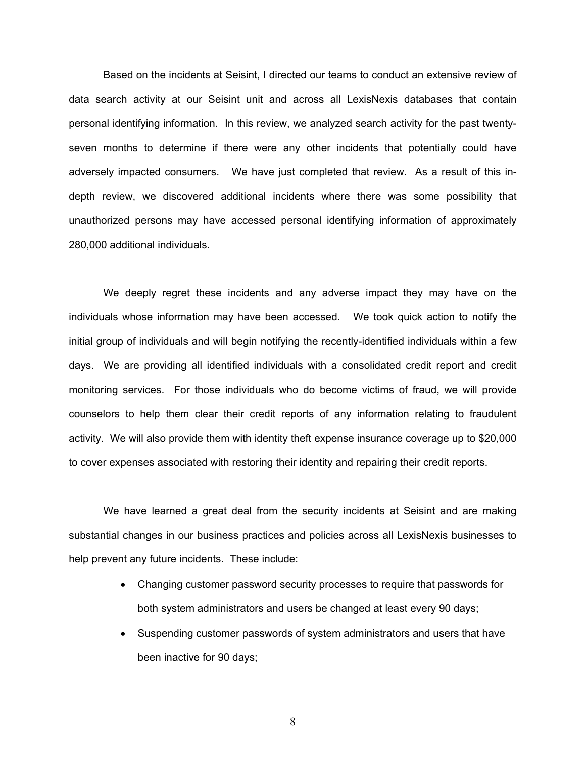Based on the incidents at Seisint, I directed our teams to conduct an extensive review of data search activity at our Seisint unit and across all LexisNexis databases that contain personal identifying information. In this review, we analyzed search activity for the past twentyseven months to determine if there were any other incidents that potentially could have adversely impacted consumers. We have just completed that review. As a result of this indepth review, we discovered additional incidents where there was some possibility that unauthorized persons may have accessed personal identifying information of approximately 280,000 additional individuals.

We deeply regret these incidents and any adverse impact they may have on the individuals whose information may have been accessed. We took quick action to notify the initial group of individuals and will begin notifying the recently-identified individuals within a few days. We are providing all identified individuals with a consolidated credit report and credit monitoring services. For those individuals who do become victims of fraud, we will provide counselors to help them clear their credit reports of any information relating to fraudulent activity. We will also provide them with identity theft expense insurance coverage up to \$20,000 to cover expenses associated with restoring their identity and repairing their credit reports.

We have learned a great deal from the security incidents at Seisint and are making substantial changes in our business practices and policies across all LexisNexis businesses to help prevent any future incidents. These include:

- Changing customer password security processes to require that passwords for both system administrators and users be changed at least every 90 days;
- Suspending customer passwords of system administrators and users that have been inactive for 90 days;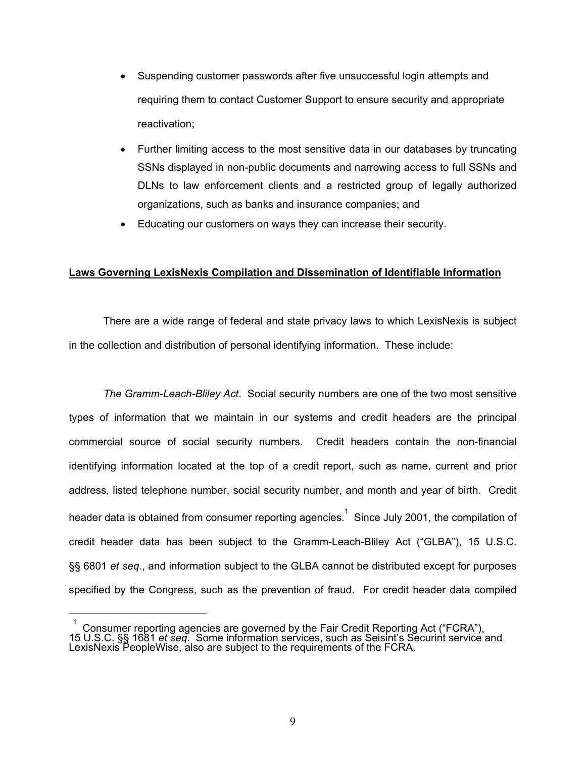- Suspending customer passwords after five unsuccessful login attempts and requiring them to contact Customer Support to ensure security and appropriate reactivation;
- Further limiting access to the most sensitive data in our databases by truncating SSNs displayed in non-public documents and narrowing access to full SSNs and DLNs to law enforcement clients and a restricted group of legally authorized organizations, such as banks and insurance companies; and
- Educating our customers on ways they can increase their security.

# **Laws Governing LexisNexis Compilation and Dissemination of Identifiable Information**

There are a wide range of federal and state privacy laws to which LexisNexis is subject in the collection and distribution of personal identifying information. These include:

*The Gramm-Leach-Bliley Act*. Social security numbers are one of the two most sensitive types of information that we maintain in our systems and credit headers are the principal commercial source of social security numbers. Credit headers contain the non-financial identifying information located at the top of a credit report, such as name, current and prior address, listed telephone number, social security number, and month and year of birth. Credit header data is obtained from consumer reporting agencies. $^1$  Since July 2001, the compilation of credit header data has been subject to the Gramm-Leach-Bliley Act ("GLBA"), 15 U.S.C. §§ 6801 *et seq*., and information subject to the GLBA cannot be distributed except for purposes specified by the Congress, such as the prevention of fraud. For credit header data compiled

 $\overline{a}$ 

 $1$  Consumer reporting agencies are governed by the Fair Credit Reporting Act ("FCRA"), 15 U.S.C. §§ 1681 *et seq*. Some information services, such as Seisint's Securint service and LexisNexis PeopleWise, also are subject to the requirements of the FCRA.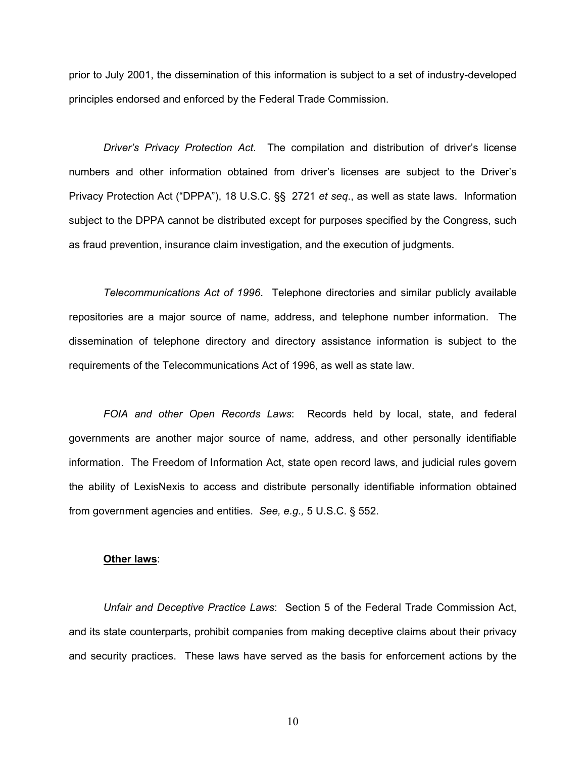prior to July 2001, the dissemination of this information is subject to a set of industry-developed principles endorsed and enforced by the Federal Trade Commission.

*Driver's Privacy Protection Act*. The compilation and distribution of driver's license numbers and other information obtained from driver's licenses are subject to the Driver's Privacy Protection Act ("DPPA"), 18 U.S.C. §§ 2721 *et seq*., as well as state laws. Information subject to the DPPA cannot be distributed except for purposes specified by the Congress, such as fraud prevention, insurance claim investigation, and the execution of judgments.

*Telecommunications Act of 1996*. Telephone directories and similar publicly available repositories are a major source of name, address, and telephone number information. The dissemination of telephone directory and directory assistance information is subject to the requirements of the Telecommunications Act of 1996, as well as state law.

*FOIA and other Open Records Laws*: Records held by local, state, and federal governments are another major source of name, address, and other personally identifiable information. The Freedom of Information Act, state open record laws, and judicial rules govern the ability of LexisNexis to access and distribute personally identifiable information obtained from government agencies and entities. *See, e.g.,* 5 U.S.C. § 552.

#### **Other laws**:

*Unfair and Deceptive Practice Laws*: Section 5 of the Federal Trade Commission Act, and its state counterparts, prohibit companies from making deceptive claims about their privacy and security practices. These laws have served as the basis for enforcement actions by the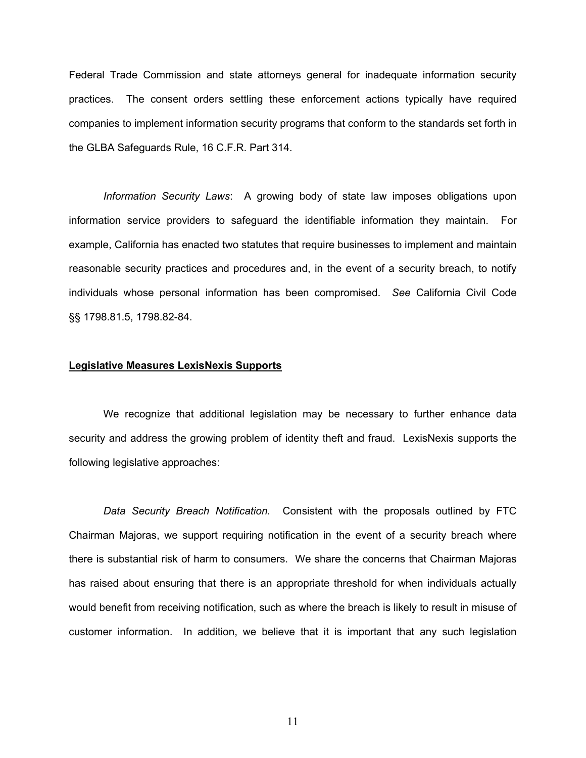Federal Trade Commission and state attorneys general for inadequate information security practices. The consent orders settling these enforcement actions typically have required companies to implement information security programs that conform to the standards set forth in the GLBA Safeguards Rule, 16 C.F.R. Part 314.

*Information Security Laws*: A growing body of state law imposes obligations upon information service providers to safeguard the identifiable information they maintain. For example, California has enacted two statutes that require businesses to implement and maintain reasonable security practices and procedures and, in the event of a security breach, to notify individuals whose personal information has been compromised. *See* California Civil Code §§ 1798.81.5, 1798.82-84.

# **Legislative Measures LexisNexis Supports**

We recognize that additional legislation may be necessary to further enhance data security and address the growing problem of identity theft and fraud. LexisNexis supports the following legislative approaches:

*Data Security Breach Notification.* Consistent with the proposals outlined by FTC Chairman Majoras, we support requiring notification in the event of a security breach where there is substantial risk of harm to consumers. We share the concerns that Chairman Majoras has raised about ensuring that there is an appropriate threshold for when individuals actually would benefit from receiving notification, such as where the breach is likely to result in misuse of customer information. In addition, we believe that it is important that any such legislation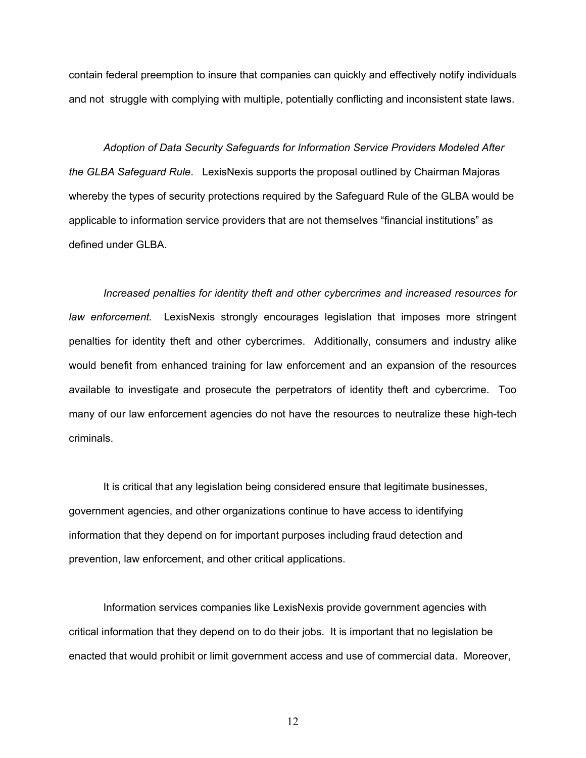contain federal preemption to insure that companies can quickly and effectively notify individuals and not struggle with complying with multiple, potentially conflicting and inconsistent state laws.

*Adoption of Data Security Safeguards for Information Service Providers Modeled After the GLBA Safeguard Rule*. LexisNexis supports the proposal outlined by Chairman Majoras whereby the types of security protections required by the Safeguard Rule of the GLBA would be applicable to information service providers that are not themselves "financial institutions" as defined under GLBA.

*Increased penalties for identity theft and other cybercrimes and increased resources for law enforcement.* LexisNexis strongly encourages legislation that imposes more stringent penalties for identity theft and other cybercrimes. Additionally, consumers and industry alike would benefit from enhanced training for law enforcement and an expansion of the resources available to investigate and prosecute the perpetrators of identity theft and cybercrime. Too many of our law enforcement agencies do not have the resources to neutralize these high-tech criminals.

It is critical that any legislation being considered ensure that legitimate businesses, government agencies, and other organizations continue to have access to identifying information that they depend on for important purposes including fraud detection and prevention, law enforcement, and other critical applications.

Information services companies like LexisNexis provide government agencies with critical information that they depend on to do their jobs. It is important that no legislation be enacted that would prohibit or limit government access and use of commercial data. Moreover,